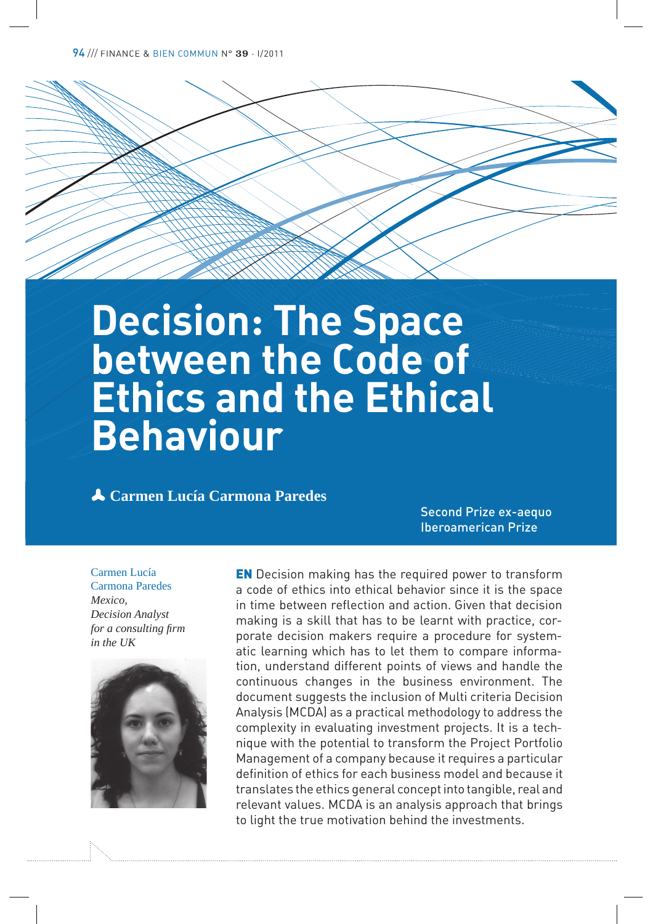# **Decision: The Space between the Code of Ethics and the Ethical Behaviour**

p **Carmen Lucía Carmona Paredes**

Second Prize ex-aequo Iberoamerican Prize

Carmen Lucía Carmona Paredes *Mexico, Decision Analyst for a consulting firm in the UK*



EN Decision making has the required power to transform a code of ethics into ethical behavior since it is the space in time between reflection and action. Given that decision making is a skill that has to be learnt with practice, corporate decision makers require a procedure for systematic learning which has to let them to compare information, understand different points of views and handle the continuous changes in the business environment. The document suggests the inclusion of Multi criteria Decision Analysis (MCDA) as a practical methodology to address the complexity in evaluating investment projects. It is a technique with the potential to transform the Project Portfolio Management of a company because it requires a particular definition of ethics for each business model and because it translates the ethics general concept into tangible, real and relevant values. MCDA is an analysis approach that brings to light the true motivation behind the investments.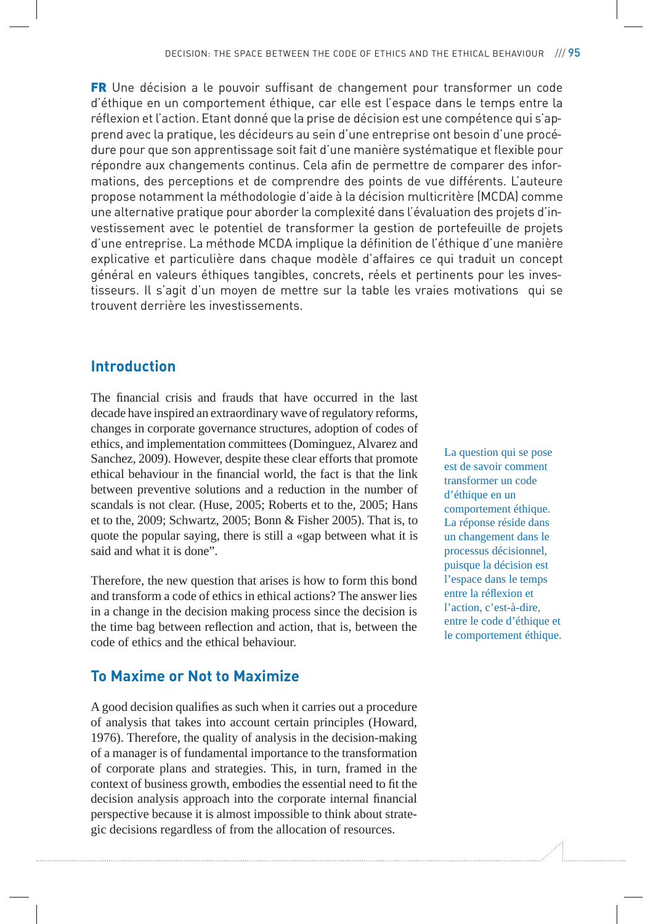**FR** Une décision a le pouvoir suffisant de changement pour transformer un code d'éthique en un comportement éthique, car elle est l'espace dans le temps entre la réflexion et l'action. Etant donné que la prise de décision est une compétence qui s'apprend avec la pratique, les décideurs au sein d'une entreprise ont besoin d'une procédure pour que son apprentissage soit fait d'une manière systématique et flexible pour répondre aux changements continus. Cela afin de permettre de comparer des informations, des perceptions et de comprendre des points de vue différents. L'auteure propose notamment la méthodologie d'aide à la décision multicritère (MCDA) comme une alternative pratique pour aborder la complexité dans l'évaluation des projets d'investissement avec le potentiel de transformer la gestion de portefeuille de projets d'une entreprise. La méthode MCDA implique la définition de l'éthique d'une manière explicative et particulière dans chaque modèle d'affaires ce qui traduit un concept général en valeurs éthiques tangibles, concrets, réels et pertinents pour les investisseurs. Il s'agit d'un moyen de mettre sur la table les vraies motivations qui se trouvent derrière les investissements.

# **Introduction**

The financial crisis and frauds that have occurred in the last decade have inspired an extraordinary wave of regulatory reforms, changes in corporate governance structures, adoption of codes of ethics, and implementation committees (Dominguez, Alvarez and Sanchez, 2009). However, despite these clear efforts that promote ethical behaviour in the financial world, the fact is that the link between preventive solutions and a reduction in the number of scandals is not clear. (Huse, 2005; Roberts et to the, 2005; Hans et to the, 2009; Schwartz, 2005; Bonn & Fisher 2005). That is, to quote the popular saying, there is still a «gap between what it is said and what it is done".

Therefore, the new question that arises is how to form this bond and transform a code of ethics in ethical actions? The answer lies in a change in the decision making process since the decision is the time bag between reflection and action, that is, between the code of ethics and the ethical behaviour.

# **To Maxime or Not to Maximize**

A good decision qualifies as such when it carries out a procedure of analysis that takes into account certain principles (Howard, 1976). Therefore, the quality of analysis in the decision-making of a manager is of fundamental importance to the transformation of corporate plans and strategies. This, in turn, framed in the context of business growth, embodies the essential need to fit the decision analysis approach into the corporate internal financial perspective because it is almost impossible to think about strategic decisions regardless of from the allocation of resources.

La question qui se pose est de savoir comment transformer un code d'éthique en un comportement éthique. La réponse réside dans un changement dans le processus décisionnel, puisque la décision est l'espace dans le temps entre la réflexion et l'action, c'est-à-dire, entre le code d'éthique et le comportement éthique.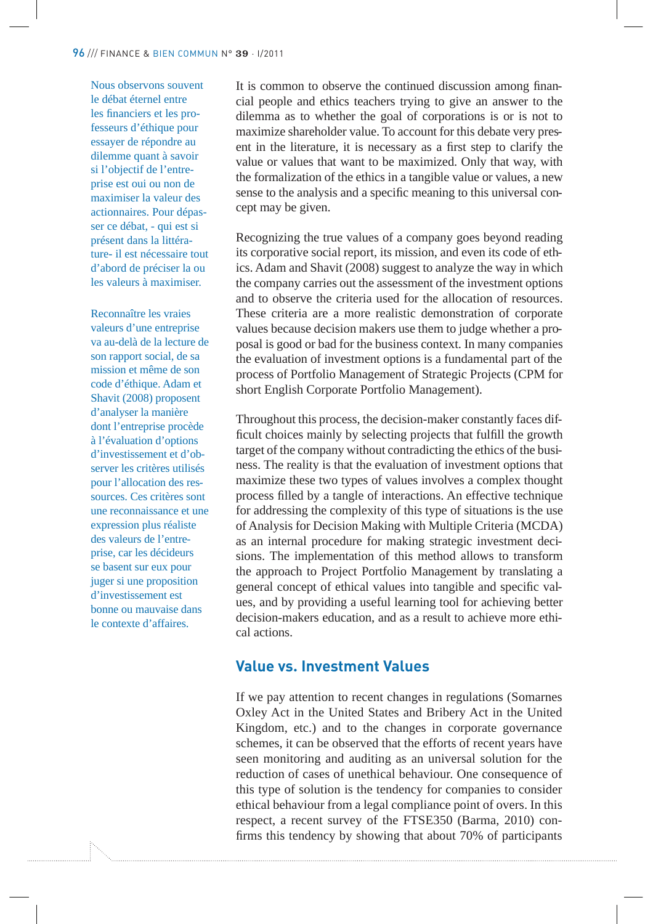Nous observons souvent le débat éternel entre les financiers et les professeurs d'éthique pour essayer de répondre au dilemme quant à savoir si l'objectif de l'entreprise est oui ou non de maximiser la valeur des actionnaires. Pour dépasser ce débat, - qui est si présent dans la littérature- il est nécessaire tout d'abord de préciser la ou les valeurs à maximiser.

Reconnaître les vraies valeurs d'une entreprise va au-delà de la lecture de son rapport social, de sa mission et même de son code d'éthique. Adam et Shavit (2008) proposent d'analyser la manière dont l'entreprise procède à l'évaluation d'options d'investissement et d'observer les critères utilisés pour l'allocation des ressources. Ces critères sont une reconnaissance et une expression plus réaliste des valeurs de l'entreprise, car les décideurs se basent sur eux pour juger si une proposition d'investissement est bonne ou mauvaise dans le contexte d'affaires.

It is common to observe the continued discussion among financial people and ethics teachers trying to give an answer to the dilemma as to whether the goal of corporations is or is not to maximize shareholder value. To account for this debate very present in the literature, it is necessary as a first step to clarify the value or values that want to be maximized. Only that way, with the formalization of the ethics in a tangible value or values, a new sense to the analysis and a specific meaning to this universal concept may be given.

Recognizing the true values of a company goes beyond reading its corporative social report, its mission, and even its code of ethics. Adam and Shavit (2008) suggest to analyze the way in which the company carries out the assessment of the investment options and to observe the criteria used for the allocation of resources. These criteria are a more realistic demonstration of corporate values because decision makers use them to judge whether a proposal is good or bad for the business context. In many companies the evaluation of investment options is a fundamental part of the process of Portfolio Management of Strategic Projects (CPM for short English Corporate Portfolio Management).

Throughout this process, the decision-maker constantly faces dif ficult choices mainly by selecting projects that fulfill the growth target of the company without contradicting the ethics of the business. The reality is that the evaluation of investment options that maximize these two types of values involves a complex thought process filled by a tangle of interactions. An effective technique for addressing the complexity of this type of situations is the use of Analysis for Decision Making with Multiple Criteria (MCDA) as an internal procedure for making strategic investment decisions. The implementation of this method allows to transform the approach to Project Portfolio Management by translating a general concept of ethical values into tangible and specific values, and by providing a useful learning tool for achieving better decision-makers education, and as a result to achieve more ethical actions.

### **Value vs. Investment Values**

If we pay attention to recent changes in regulations (Somarnes Oxley Act in the United States and Bribery Act in the United Kingdom, etc.) and to the changes in corporate governance schemes, it can be observed that the efforts of recent years have seen monitoring and auditing as an universal solution for the reduction of cases of unethical behaviour. One consequence of this type of solution is the tendency for companies to consider ethical behaviour from a legal compliance point of overs. In this respect, a recent survey of the FTSE350 (Barma, 2010) con firms this tendency by showing that about 70% of participants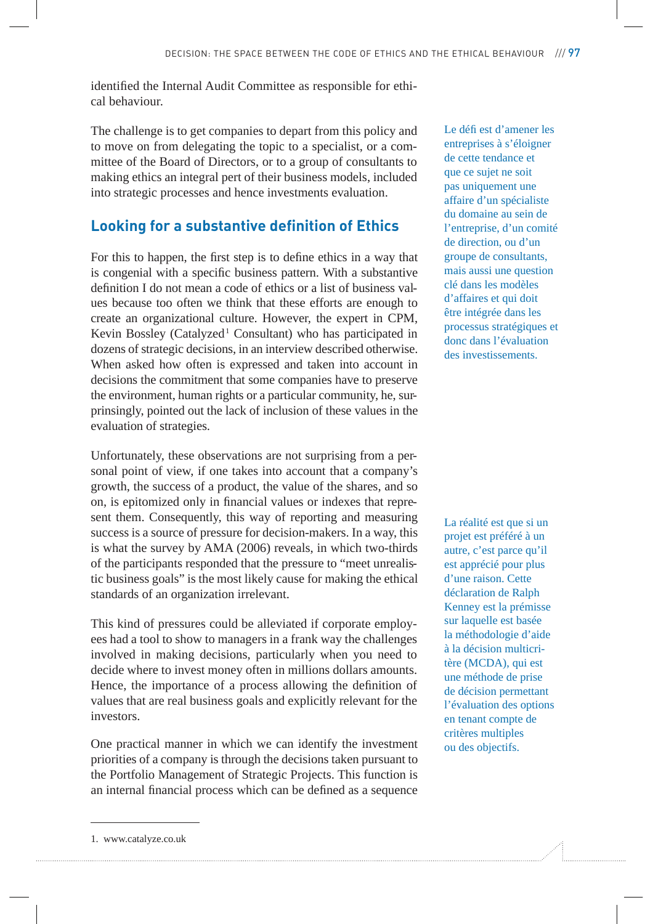identified the Internal Audit Committee as responsible for ethical behaviour.

The challenge is to get companies to depart from this policy and to move on from delegating the topic to a specialist, or a committee of the Board of Directors, or to a group of consultants to making ethics an integral pert of their business models, included into strategic processes and hence investments evaluation.

### **Looking for a substantive definition of Ethics**

For this to happen, the first step is to define ethics in a way that is congenial with a specific business pattern. With a substantive definition I do not mean a code of ethics or a list of business values because too often we think that these efforts are enough to create an organizational culture. However, the expert in CPM, Kevin Bossley (Catalyzed<sup>1</sup> Consultant) who has participated in dozens of strategic decisions, in an interview described otherwise. When asked how often is expressed and taken into account in decisions the commitment that some companies have to preserve the environment, human rights or a particular community, he, surprinsingly, pointed out the lack of inclusion of these values in the evaluation of strategies.

Unfortunately, these observations are not surprising from a personal point of view, if one takes into account that a company's growth, the success of a product, the value of the shares, and so on, is epitomized only in financial values or indexes that represent them. Consequently, this way of reporting and measuring success is a source of pressure for decision-makers. In a way, this is what the survey by AMA (2006) reveals, in which two-thirds of the participants responded that the pressure to "meet unrealistic business goals" is the most likely cause for making the ethical standards of an organization irrelevant.

This kind of pressures could be alleviated if corporate employees had a tool to show to managers in a frank way the challenges involved in making decisions, particularly when you need to decide where to invest money often in millions dollars amounts. Hence, the importance of a process allowing the definition of values that are real business goals and explicitly relevant for the investors.

One practical manner in which we can identify the investment priorities of a company is through the decisions taken pursuant to the Portfolio Management of Strategic Projects. This function is an internal financial process which can be defined as a sequence Le défi est d'amener les entreprises à s'éloigner de cette tendance et que ce sujet ne soit pas uniquement une affaire d'un spécialiste du domaine au sein de l'entreprise, d'un comité de direction, ou d'un groupe de consultants, mais aussi une question clé dans les modèles d'affaires et qui doit être intégrée dans les processus stratégiques et donc dans l'évaluation des investissements.

La réalité est que si un projet est préféré à un autre, c'est parce qu'il est apprécié pour plus d'une raison. Cette déclaration de Ralph Kenney est la prémisse sur laquelle est basée la méthodologie d'aide à la décision multicritère (MCDA), qui est une méthode de prise de décision permettant l'évaluation des options en tenant compte de critères multiples ou des objectifs.

<sup>1.</sup> www.catalyze.co.uk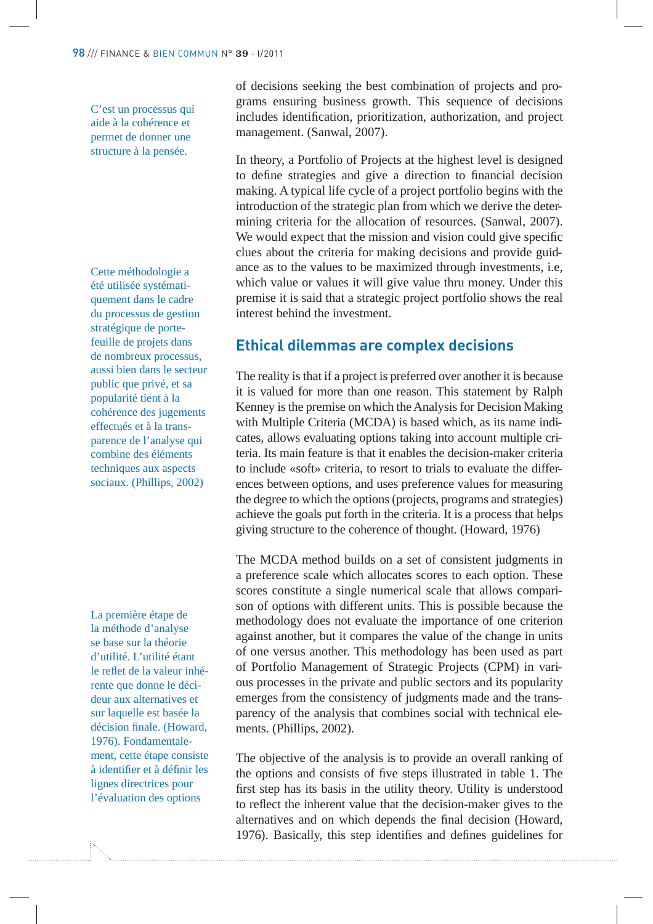C'est un processus qui aide à la cohérence et permet de donner une structure à la pensée.

Cette méthodologie a été utilisée systématiquement dans le cadre du processus de gestion stratégique de portefeuille de projets dans de nombreux processus, aussi bien dans le secteur public que privé, et sa popularité tient à la cohérence des jugements effectués et à la transparence de l'analyse qui combine des éléments techniques aux aspects sociaux. (Phillips, 2002)

La première étape de la méthode d'analyse se base sur la théorie d'utilité. L'utilité étant le reflet de la valeur inhérente que donne le décideur aux alternatives et sur laquelle est basée la décision finale. (Howard, 1976). Fondamentalement, cette étape consiste à identifier et à définir les lignes directrices pour l'évaluation des options

of decisions seeking the best combination of projects and programs ensuring business growth. This sequence of decisions includes identification, prioritization, authorization, and project management. (Sanwal, 2007).

In theory, a Portfolio of Projects at the highest level is designed to define strategies and give a direction to financial decision making. A typical life cycle of a project portfolio begins with the introduction of the strategic plan from which we derive the determining criteria for the allocation of resources. (Sanwal, 2007). We would expect that the mission and vision could give specific clues about the criteria for making decisions and provide guidance as to the values to be maximized through investments, i.e, which value or values it will give value thru money. Under this premise it is said that a strategic project portfolio shows the real interest behind the investment.

# **Ethical dilemmas are complex decisions**

The reality is that if a project is preferred over another it is because it is valued for more than one reason. This statement by Ralph Kenney is the premise on which the Analysis for Decision Making with Multiple Criteria (MCDA) is based which, as its name indicates, allows evaluating options taking into account multiple criteria. Its main feature is that it enables the decision-maker criteria to include «soft» criteria, to resort to trials to evaluate the differences between options, and uses preference values for measuring the degree to which the options (projects, programs and strategies) achieve the goals put forth in the criteria. It is a process that helps giving structure to the coherence of thought. (Howard, 1976)

The MCDA method builds on a set of consistent judgments in a preference scale which allocates scores to each option. These scores constitute a single numerical scale that allows comparison of options with different units. This is possible because the methodology does not evaluate the importance of one criterion against another, but it compares the value of the change in units of one versus another. This methodology has been used as part of Portfolio Management of Strategic Projects (CPM) in various processes in the private and public sectors and its popularity emerges from the consistency of judgments made and the transparency of the analysis that combines social with technical elements. (Phillips, 2002).

The objective of the analysis is to provide an overall ranking of the options and consists of five steps illustrated in table 1. The first step has its basis in the utility theory. Utility is understood to reflect the inherent value that the decision-maker gives to the alternatives and on which depends the final decision (Howard, 1976). Basically, this step identifies and defines guidelines for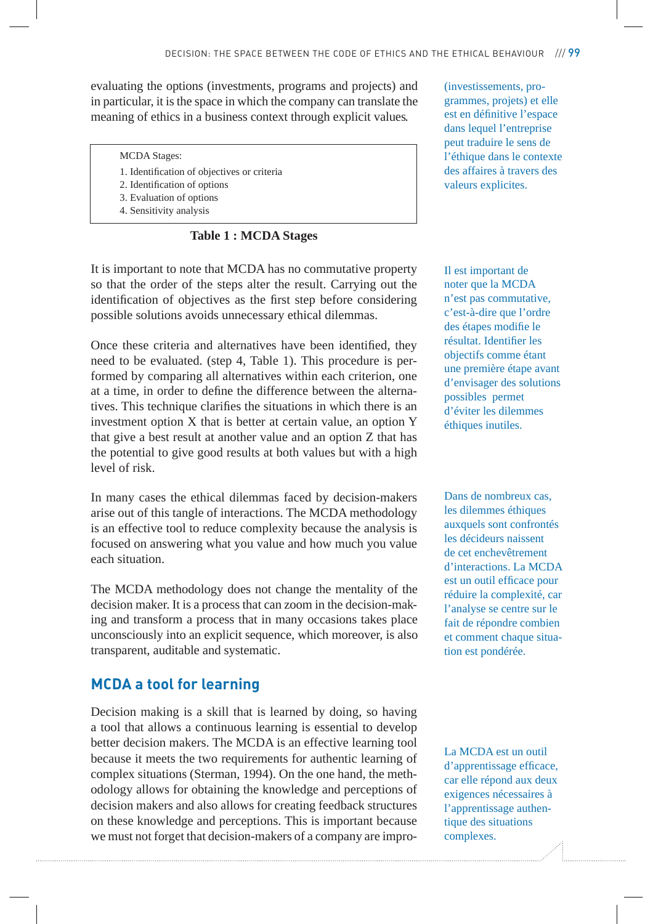evaluating the options (investments, programs and projects) and in particular, it is the space in which the company can translate the meaning of ethics in a business context through explicit values.

#### MCDA Stages:

- 1. Identification of objectives or criteria
- 2. Identification of options
- 3. Evaluation of options
- 4. Sensitivity analysis

**Table 1 : MCDA Stages**

It is important to note that MCDA has no commutative property so that the order of the steps alter the result. Carrying out the identification of objectives as the first step before considering possible solutions avoids unnecessary ethical dilemmas.

Once these criteria and alternatives have been identified, they need to be evaluated. (step 4, Table 1). This procedure is performed by comparing all alternatives within each criterion, one at a time, in order to define the difference between the alternatives. This technique clarifies the situations in which there is an investment option X that is better at certain value, an option Y that give a best result at another value and an option Z that has the potential to give good results at both values but with a high level of risk.

In many cases the ethical dilemmas faced by decision-makers arise out of this tangle of interactions. The MCDA methodology is an effective tool to reduce complexity because the analysis is focused on answering what you value and how much you value each situation.

The MCDA methodology does not change the mentality of the decision maker. It is a process that can zoom in the decision-making and transform a process that in many occasions takes place unconsciously into an explicit sequence, which moreover, is also transparent, auditable and systematic.

#### **MCDA a tool for learning**

Decision making is a skill that is learned by doing, so having a tool that allows a continuous learning is essential to develop better decision makers. The MCDA is an effective learning tool because it meets the two requirements for authentic learning of complex situations (Sterman, 1994). On the one hand, the methodology allows for obtaining the knowledge and perceptions of decision makers and also allows for creating feedback structures on these knowledge and perceptions. This is important because we must not forget that decision-makers of a company are impro(investissements, programmes, projets) et elle est en définitive l'espace dans lequel l'entreprise peut traduire le sens de l'éthique dans le contexte des affaires à travers des valeurs explicites.

Il est important de noter que la MCDA n'est pas commutative, c'est-à-dire que l'ordre des étapes modifie le résultat. Identifier les objectifs comme étant une première étape avant d'envisager des solutions possibles permet d'éviter les dilemmes éthiques inutiles.

Dans de nombreux cas, les dilemmes éthiques auxquels sont confrontés les décideurs naissent de cet enchevêtrement d'interactions. La MCDA est un outil efficace pour réduire la complexité, car l'analyse se centre sur le fait de répondre combien et comment chaque situation est pondérée.

La MCDA est un outil d'apprentissage efficace, car elle répond aux deux exigences nécessaires à l'apprentissage authentique des situations complexes.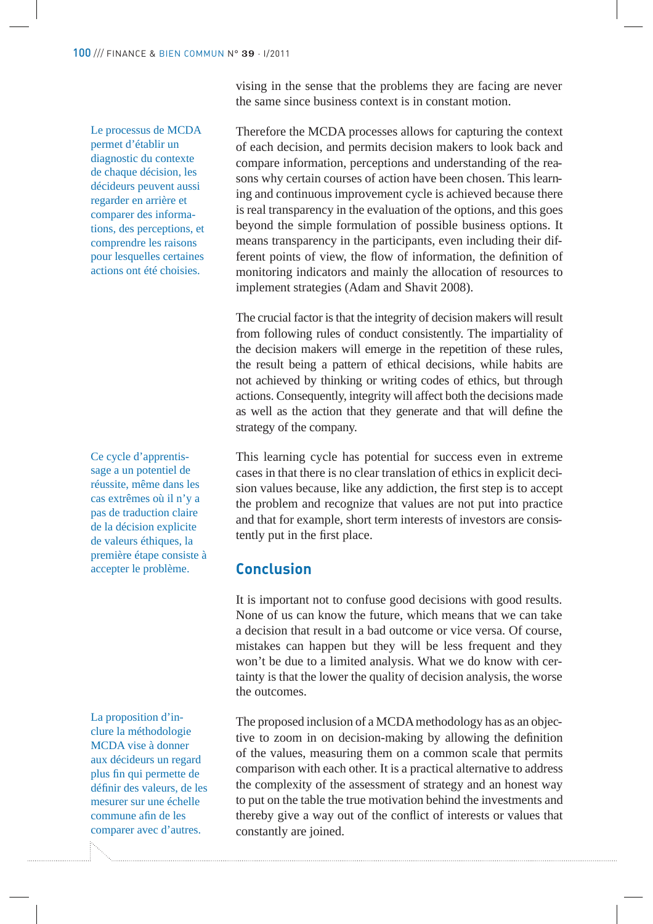vising in the sense that the problems they are facing are never the same since business context is in constant motion.

Le processus de MCDA permet d'établir un diagnostic du contexte de chaque décision, les décideurs peuvent aussi regarder en arrière et comparer des informations, des perceptions, et comprendre les raisons pour lesquelles certaines actions ont été choisies.

Ce cycle d'apprentissage a un potentiel de réussite, même dans les cas extrêmes où il n'y a pas de traduction claire de la décision explicite de valeurs éthiques, la première étape consiste à accepter le problème.

La proposition d'inclure la méthodologie MCDA vise à donner aux décideurs un regard plus fin qui permette de définir des valeurs, de les mesurer sur une échelle commune afin de les comparer avec d'autres.

Therefore the MCDA processes allows for capturing the context of each decision, and permits decision makers to look back and compare information, perceptions and understanding of the reasons why certain courses of action have been chosen. This learning and continuous improvement cycle is achieved because there is real transparency in the evaluation of the options, and this goes beyond the simple formulation of possible business options. It means transparency in the participants, even including their different points of view, the flow of information, the definition of monitoring indicators and mainly the allocation of resources to implement strategies (Adam and Shavit 2008).

The crucial factor is that the integrity of decision makers will result from following rules of conduct consistently. The impartiality of the decision makers will emerge in the repetition of these rules, the result being a pattern of ethical decisions, while habits are not achieved by thinking or writing codes of ethics, but through actions. Consequently, integrity will affect both the decisions made as well as the action that they generate and that will define the strategy of the company.

This learning cycle has potential for success even in extreme cases in that there is no clear translation of ethics in explicit decision values because, like any addiction, the first step is to accept the problem and recognize that values are not put into practice and that for example, short term interests of investors are consistently put in the first place.

# **Conclusion**

It is important not to confuse good decisions with good results. None of us can know the future, which means that we can take a decision that result in a bad outcome or vice versa. Of course, mistakes can happen but they will be less frequent and they won't be due to a limited analysis. What we do know with certainty is that the lower the quality of decision analysis, the worse the outcomes.

The proposed inclusion of a MCDA methodology has as an objective to zoom in on decision-making by allowing the definition of the values, measuring them on a common scale that permits comparison with each other. It is a practical alternative to address the complexity of the assessment of strategy and an honest way to put on the table the true motivation behind the investments and thereby give a way out of the conflict of interests or values that constantly are joined.